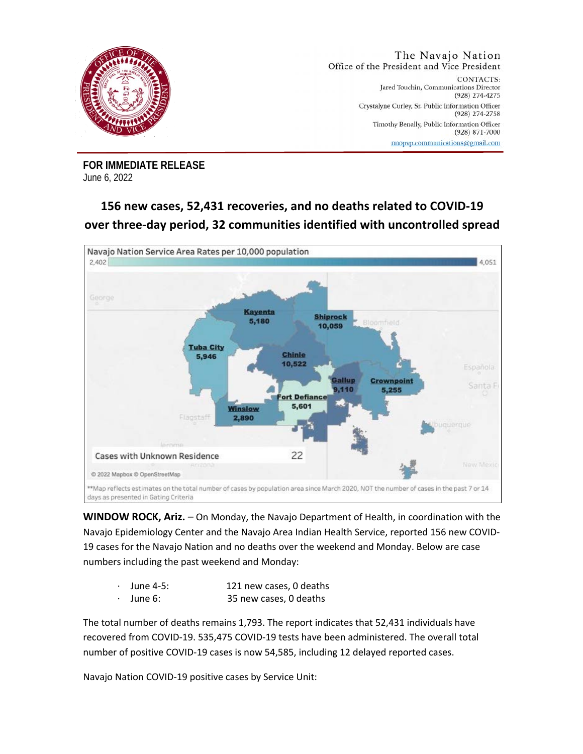

**FOR IMMEDIATE RELEASE**  June 6, 2022

## **156 new cases, 52,431 recoveries, and no deaths related to COVID-19 over three-day period, 32 communities identified with uncontrolled spread**



**WINDOW ROCK, Ariz.** – On Monday, the Navajo Department of Health, in coordination with the Navajo Epidemiology Center and the Navajo Area Indian Health Service, reported 156 new COVID-19 cases for the Navajo Nation and no deaths over the weekend and Monday. Below are case numbers including the past weekend and Monday:

- June 4-5: 121 new cases, 0 deaths
- · June 6: 35 new cases, 0 deaths

The total number of deaths remains 1,793. The report indicates that 52,431 individuals have recovered from COVID-19. 535,475 COVID-19 tests have been administered. The overall total number of positive COVID-19 cases is now 54,585, including 12 delayed reported cases.

Navajo Nation COVID-19 positive cases by Service Unit: